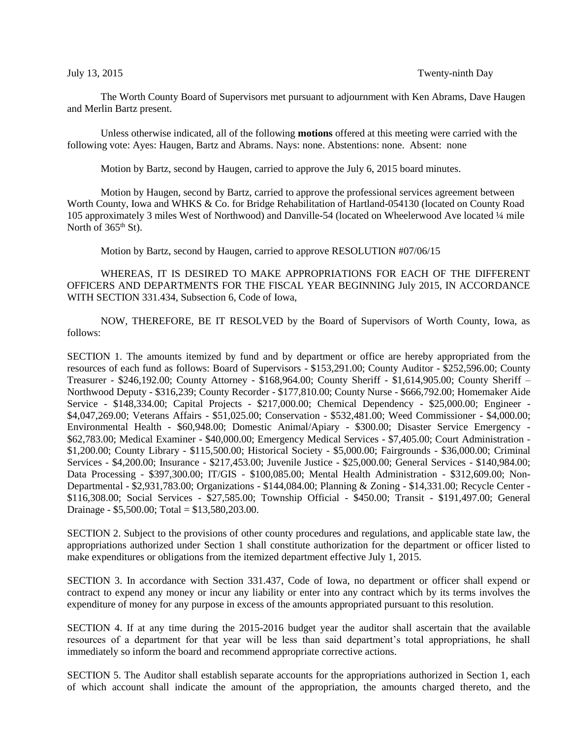The Worth County Board of Supervisors met pursuant to adjournment with Ken Abrams, Dave Haugen and Merlin Bartz present.

Unless otherwise indicated, all of the following **motions** offered at this meeting were carried with the following vote: Ayes: Haugen, Bartz and Abrams. Nays: none. Abstentions: none. Absent: none

Motion by Bartz, second by Haugen, carried to approve the July 6, 2015 board minutes.

Motion by Haugen, second by Bartz, carried to approve the professional services agreement between Worth County, Iowa and WHKS & Co. for Bridge Rehabilitation of Hartland-054130 (located on County Road 105 approximately 3 miles West of Northwood) and Danville-54 (located on Wheelerwood Ave located ¼ mile North of  $365<sup>th</sup>$  St).

Motion by Bartz, second by Haugen, carried to approve RESOLUTION #07/06/15

WHEREAS, IT IS DESIRED TO MAKE APPROPRIATIONS FOR EACH OF THE DIFFERENT OFFICERS AND DEPARTMENTS FOR THE FISCAL YEAR BEGINNING July 2015, IN ACCORDANCE WITH SECTION 331.434, Subsection 6, Code of Iowa,

NOW, THEREFORE, BE IT RESOLVED by the Board of Supervisors of Worth County, Iowa, as follows:

SECTION 1. The amounts itemized by fund and by department or office are hereby appropriated from the resources of each fund as follows: Board of Supervisors - \$153,291.00; County Auditor - \$252,596.00; County Treasurer - \$246,192.00; County Attorney - \$168,964.00; County Sheriff - \$1,614,905.00; County Sheriff – Northwood Deputy - \$316,239; County Recorder - \$177,810.00; County Nurse - \$666,792.00; Homemaker Aide Service - \$148,334.00; Capital Projects - \$217,000.00; Chemical Dependency - \$25,000.00; Engineer - \$4,047,269.00; Veterans Affairs - \$51,025.00; Conservation - \$532,481.00; Weed Commissioner - \$4,000.00; Environmental Health - \$60,948.00; Domestic Animal/Apiary - \$300.00; Disaster Service Emergency - \$62,783.00; Medical Examiner - \$40,000.00; Emergency Medical Services - \$7,405.00; Court Administration - \$1,200.00; County Library - \$115,500.00; Historical Society - \$5,000.00; Fairgrounds - \$36,000.00; Criminal Services - \$4,200.00; Insurance - \$217,453.00; Juvenile Justice - \$25,000.00; General Services - \$140,984.00; Data Processing - \$397,300.00; IT/GIS - \$100,085.00; Mental Health Administration - \$312,609.00; Non-Departmental - \$2,931,783.00; Organizations - \$144,084.00; Planning & Zoning - \$14,331.00; Recycle Center - \$116,308.00; Social Services - \$27,585.00; Township Official - \$450.00; Transit - \$191,497.00; General Drainage - \$5,500.00; Total = \$13,580,203.00.

SECTION 2. Subject to the provisions of other county procedures and regulations, and applicable state law, the appropriations authorized under Section 1 shall constitute authorization for the department or officer listed to make expenditures or obligations from the itemized department effective July 1, 2015.

SECTION 3. In accordance with Section 331.437, Code of Iowa, no department or officer shall expend or contract to expend any money or incur any liability or enter into any contract which by its terms involves the expenditure of money for any purpose in excess of the amounts appropriated pursuant to this resolution.

SECTION 4. If at any time during the 2015-2016 budget year the auditor shall ascertain that the available resources of a department for that year will be less than said department's total appropriations, he shall immediately so inform the board and recommend appropriate corrective actions.

SECTION 5. The Auditor shall establish separate accounts for the appropriations authorized in Section 1, each of which account shall indicate the amount of the appropriation, the amounts charged thereto, and the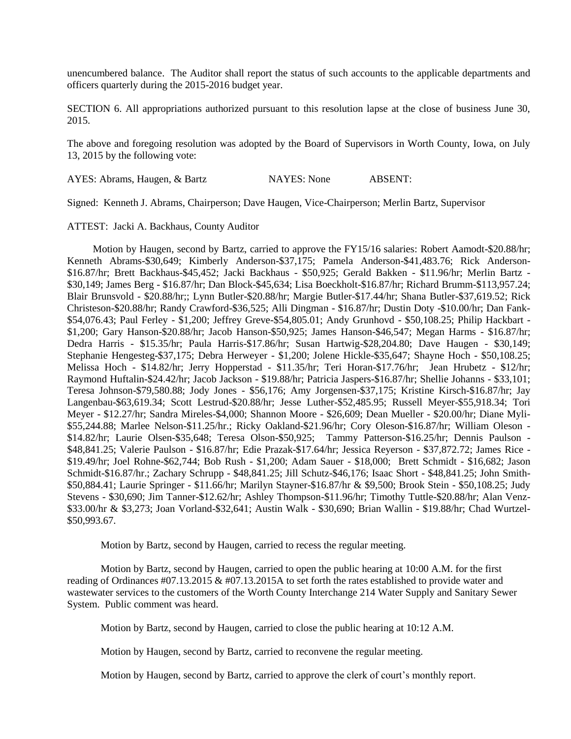unencumbered balance. The Auditor shall report the status of such accounts to the applicable departments and officers quarterly during the 2015-2016 budget year.

SECTION 6. All appropriations authorized pursuant to this resolution lapse at the close of business June 30, 2015.

The above and foregoing resolution was adopted by the Board of Supervisors in Worth County, Iowa, on July 13, 2015 by the following vote:

AYES: Abrams, Haugen, & Bartz NAYES: None ABSENT:

Signed: Kenneth J. Abrams, Chairperson; Dave Haugen, Vice-Chairperson; Merlin Bartz, Supervisor

ATTEST: Jacki A. Backhaus, County Auditor

 Motion by Haugen, second by Bartz, carried to approve the FY15/16 salaries: Robert Aamodt-\$20.88/hr; Kenneth Abrams-\$30,649; Kimberly Anderson-\$37,175; Pamela Anderson-\$41,483.76; Rick Anderson- \$16.87/hr; Brett Backhaus-\$45,452; Jacki Backhaus - \$50,925; Gerald Bakken - \$11.96/hr; Merlin Bartz - \$30,149; James Berg - \$16.87/hr; Dan Block-\$45,634; Lisa Boeckholt-\$16.87/hr; Richard Brumm-\$113,957.24; Blair Brunsvold - \$20.88/hr;; Lynn Butler-\$20.88/hr; Margie Butler-\$17.44/hr; Shana Butler-\$37,619.52; Rick Christeson-\$20.88/hr; Randy Crawford-\$36,525; Alli Dingman - \$16.87/hr; Dustin Doty -\$10.00/hr; Dan Fank- \$54,076.43; Paul Ferley - \$1,200; Jeffrey Greve-\$54,805.01; Andy Grunhovd - \$50,108.25; Philip Hackbart - \$1,200; Gary Hanson-\$20.88/hr; Jacob Hanson-\$50,925; James Hanson-\$46,547; Megan Harms - \$16.87/hr; Dedra Harris - \$15.35/hr; Paula Harris-\$17.86/hr; Susan Hartwig-\$28,204.80; Dave Haugen - \$30,149; Stephanie Hengesteg-\$37,175; Debra Herweyer - \$1,200; Jolene Hickle-\$35,647; Shayne Hoch - \$50,108.25; Melissa Hoch - \$14.82/hr; Jerry Hopperstad - \$11.35/hr; Teri Horan-\$17.76/hr; Jean Hrubetz - \$12/hr; Raymond Huftalin-\$24.42/hr; Jacob Jackson - \$19.88/hr; Patricia Jaspers-\$16.87/hr; Shellie Johanns - \$33,101; Teresa Johnson-\$79,580.88; Jody Jones - \$56,176; Amy Jorgensen-\$37,175; Kristine Kirsch-\$16.87/hr; Jay Langenbau-\$63,619.34; Scott Lestrud-\$20.88/hr; Jesse Luther-\$52,485.95; Russell Meyer-\$55,918.34; Tori Meyer - \$12.27/hr; Sandra Mireles-\$4,000; Shannon Moore - \$26,609; Dean Mueller - \$20.00/hr; Diane Myli- \$55,244.88; Marlee Nelson-\$11.25/hr.; Ricky Oakland-\$21.96/hr; Cory Oleson-\$16.87/hr; William Oleson - \$14.82/hr; Laurie Olsen-\$35,648; Teresa Olson-\$50,925; Tammy Patterson-\$16.25/hr; Dennis Paulson - \$48,841.25; Valerie Paulson - \$16.87/hr; Edie Prazak-\$17.64/hr; Jessica Reyerson - \$37,872.72; James Rice - \$19.49/hr; Joel Rohne-\$62,744; Bob Rush - \$1,200; Adam Sauer - \$18,000; Brett Schmidt - \$16,682; Jason Schmidt-\$16.87/hr.; Zachary Schrupp - \$48,841.25; Jill Schutz-\$46,176; Isaac Short - \$48,841.25; John Smith- \$50,884.41; Laurie Springer - \$11.66/hr; Marilyn Stayner-\$16.87/hr & \$9,500; Brook Stein - \$50,108.25; Judy Stevens - \$30,690; Jim Tanner-\$12.62/hr; Ashley Thompson-\$11.96/hr; Timothy Tuttle-\$20.88/hr; Alan Venz- \$33.00/hr & \$3,273; Joan Vorland-\$32,641; Austin Walk - \$30,690; Brian Wallin - \$19.88/hr; Chad Wurtzel- \$50,993.67.

Motion by Bartz, second by Haugen, carried to recess the regular meeting.

Motion by Bartz, second by Haugen, carried to open the public hearing at 10:00 A.M. for the first reading of Ordinances #07.13.2015 & #07.13.2015A to set forth the rates established to provide water and wastewater services to the customers of the Worth County Interchange 214 Water Supply and Sanitary Sewer System. Public comment was heard.

Motion by Bartz, second by Haugen, carried to close the public hearing at 10:12 A.M.

Motion by Haugen, second by Bartz, carried to reconvene the regular meeting.

Motion by Haugen, second by Bartz, carried to approve the clerk of court's monthly report.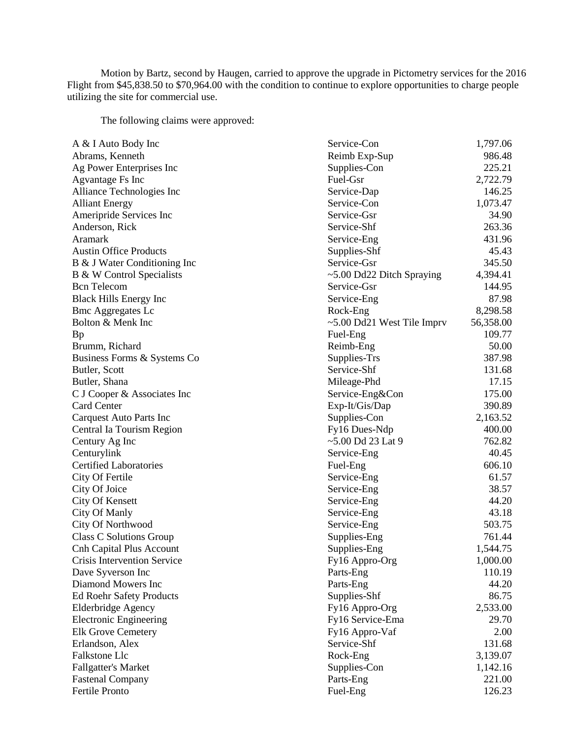Motion by Bartz, second by Haugen, carried to approve the upgrade in Pictometry services for the 2016 Flight from \$45,838.50 to \$70,964.00 with the condition to continue to explore opportunities to charge people utilizing the site for commercial use.

The following claims were approved:

| A & I Auto Body Inc             | Service-Con                     | 1,797.06  |
|---------------------------------|---------------------------------|-----------|
| Abrams, Kenneth                 | Reimb Exp-Sup                   | 986.48    |
| Ag Power Enterprises Inc        | Supplies-Con                    | 225.21    |
| Agvantage Fs Inc                | Fuel-Gsr                        | 2,722.79  |
| Alliance Technologies Inc       | Service-Dap                     | 146.25    |
| <b>Alliant Energy</b>           | Service-Con                     | 1,073.47  |
| Ameripride Services Inc         | Service-Gsr                     | 34.90     |
| Anderson, Rick                  | Service-Shf                     | 263.36    |
| Aramark                         | Service-Eng                     | 431.96    |
| <b>Austin Office Products</b>   | Supplies-Shf                    | 45.43     |
| B & J Water Conditioning Inc    | Service-Gsr                     | 345.50    |
| B & W Control Specialists       | $\sim$ 5.00 Dd22 Ditch Spraying | 4,394.41  |
| <b>Bcn</b> Telecom              | Service-Gsr                     | 144.95    |
| <b>Black Hills Energy Inc</b>   | Service-Eng                     | 87.98     |
| <b>Bmc Aggregates Lc</b>        | Rock-Eng                        | 8,298.58  |
| Bolton & Menk Inc               | ~5.00 Dd21 West Tile Imprv      | 56,358.00 |
| Bp                              | Fuel-Eng                        | 109.77    |
| Brumm, Richard                  | Reimb-Eng                       | 50.00     |
| Business Forms & Systems Co     | Supplies-Trs                    | 387.98    |
| Butler, Scott                   | Service-Shf                     | 131.68    |
| Butler, Shana                   | Mileage-Phd                     | 17.15     |
| C J Cooper & Associates Inc     | Service-Eng&Con                 | 175.00    |
| <b>Card Center</b>              | Exp-It/Gis/Dap                  | 390.89    |
| <b>Carquest Auto Parts Inc</b>  | Supplies-Con                    | 2,163.52  |
| Central Ia Tourism Region       | Fy16 Dues-Ndp                   | 400.00    |
| Century Ag Inc                  | $~5.00$ Dd 23 Lat 9             | 762.82    |
| Centurylink                     | Service-Eng                     | 40.45     |
| <b>Certified Laboratories</b>   | Fuel-Eng                        | 606.10    |
| City Of Fertile                 | Service-Eng                     | 61.57     |
| City Of Joice                   | Service-Eng                     | 38.57     |
| City Of Kensett                 | Service-Eng                     | 44.20     |
| <b>City Of Manly</b>            | Service-Eng                     | 43.18     |
| City Of Northwood               | Service-Eng                     | 503.75    |
| <b>Class C Solutions Group</b>  | Supplies-Eng                    | 761.44    |
| <b>Cnh Capital Plus Account</b> | Supplies-Eng                    | 1,544.75  |
| Crisis Intervention Service     | Fy16 Appro-Org                  | 1,000.00  |
| Dave Syverson Inc               | Parts-Eng                       | 110.19    |
| Diamond Mowers Inc              | Parts-Eng                       | 44.20     |
| <b>Ed Roehr Safety Products</b> | Supplies-Shf                    | 86.75     |
| Elderbridge Agency              | Fy16 Appro-Org                  | 2,533.00  |
| <b>Electronic Engineering</b>   | Fy16 Service-Ema                | 29.70     |
| <b>Elk Grove Cemetery</b>       | Fy16 Appro-Vaf                  | 2.00      |
| Erlandson, Alex                 | Service-Shf                     | 131.68    |
| Falkstone Llc                   | Rock-Eng                        | 3,139.07  |
| <b>Fallgatter's Market</b>      | Supplies-Con                    | 1,142.16  |
| <b>Fastenal Company</b>         | Parts-Eng                       | 221.00    |
| Fertile Pronto                  | Fuel-Eng                        | 126.23    |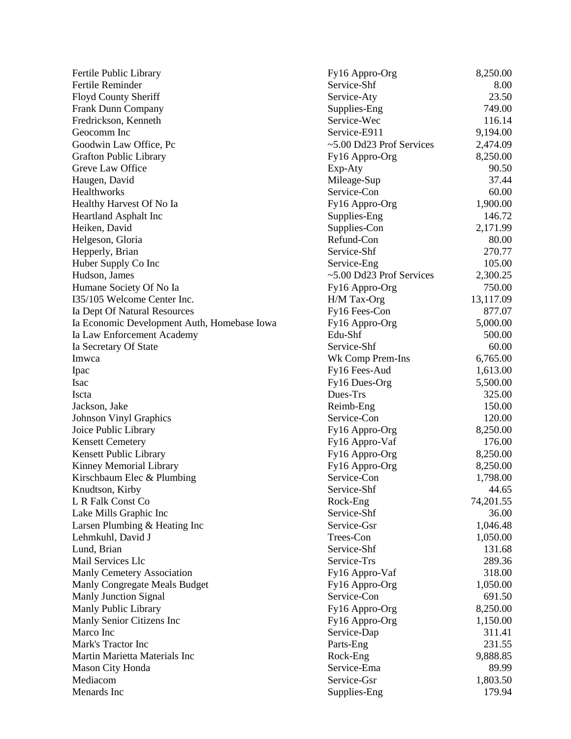| Fertile Public Library                      | Fy16 Appro-Org                    | 8,250.00  |
|---------------------------------------------|-----------------------------------|-----------|
| Fertile Reminder                            | Service-Shf                       | 8.00      |
| <b>Floyd County Sheriff</b>                 | Service-Aty                       | 23.50     |
| Frank Dunn Company                          | Supplies-Eng                      | 749.00    |
| Fredrickson, Kenneth                        | Service-Wec                       | 116.14    |
| Geocomm Inc                                 | Service-E911                      | 9,194.00  |
| Goodwin Law Office, Pc                      | ~5.00 Dd23 Prof Services          | 2,474.09  |
| <b>Grafton Public Library</b>               | Fy16 Appro-Org                    | 8,250.00  |
| Greve Law Office                            | Exp-Aty                           | 90.50     |
| Haugen, David                               | Mileage-Sup                       | 37.44     |
| Healthworks                                 | Service-Con                       | 60.00     |
| Healthy Harvest Of No Ia                    | Fy16 Appro-Org                    | 1,900.00  |
| <b>Heartland Asphalt Inc</b>                | Supplies-Eng                      | 146.72    |
| Heiken, David                               | Supplies-Con                      | 2,171.99  |
| Helgeson, Gloria                            | Refund-Con                        | 80.00     |
|                                             | Service-Shf                       | 270.77    |
| Hepperly, Brian                             |                                   | 105.00    |
| Huber Supply Co Inc                         | Service-Eng                       |           |
| Hudson, James                               | $\approx$ 5.00 Dd23 Prof Services | 2,300.25  |
| Humane Society Of No Ia                     | Fy16 Appro-Org                    | 750.00    |
| I35/105 Welcome Center Inc.                 | H/M Tax-Org                       | 13,117.09 |
| Ia Dept Of Natural Resources                | Fy16 Fees-Con                     | 877.07    |
| Ia Economic Development Auth, Homebase Iowa | Fy16 Appro-Org                    | 5,000.00  |
| Ia Law Enforcement Academy                  | Edu-Shf                           | 500.00    |
| Ia Secretary Of State                       | Service-Shf                       | 60.00     |
| Imwca                                       | Wk Comp Prem-Ins                  | 6,765.00  |
| Ipac                                        | Fy16 Fees-Aud                     | 1,613.00  |
| Isac                                        | Fy16 Dues-Org                     | 5,500.00  |
| Iscta                                       | Dues-Trs                          | 325.00    |
| Jackson, Jake                               | Reimb-Eng                         | 150.00    |
| <b>Johnson Vinyl Graphics</b>               | Service-Con                       | 120.00    |
| Joice Public Library                        | Fy16 Appro-Org                    | 8,250.00  |
| <b>Kensett Cemetery</b>                     | Fy16 Appro-Vaf                    | 176.00    |
| Kensett Public Library                      | Fy16 Appro-Org                    | 8,250.00  |
| Kinney Memorial Library                     | Fy16 Appro-Org                    | 8,250.00  |
| Kirschbaum Elec & Plumbing                  | Service-Con                       | 1,798.00  |
| Knudtson, Kirby                             | Service-Shf                       | 44.65     |
| L R Falk Const Co                           | Rock-Eng                          | 74,201.55 |
| Lake Mills Graphic Inc                      | Service-Shf                       | 36.00     |
| Larsen Plumbing & Heating Inc               | Service-Gsr                       | 1,046.48  |
| Lehmkuhl, David J                           | Trees-Con                         | 1,050.00  |
| Lund, Brian                                 | Service-Shf                       | 131.68    |
| Mail Services Llc                           | Service-Trs                       | 289.36    |
| Manly Cemetery Association                  | Fy16 Appro-Vaf                    | 318.00    |
| Manly Congregate Meals Budget               | Fy16 Appro-Org                    | 1,050.00  |
| Manly Junction Signal                       | Service-Con                       | 691.50    |
| Manly Public Library                        | Fy16 Appro-Org                    | 8,250.00  |
| Manly Senior Citizens Inc                   | Fy16 Appro-Org                    | 1,150.00  |
| Marco Inc                                   | Service-Dap                       | 311.41    |
| Mark's Tractor Inc                          | Parts-Eng                         | 231.55    |
| Martin Marietta Materials Inc               | Rock-Eng                          | 9,888.85  |
| Mason City Honda                            | Service-Ema                       | 89.99     |
| Mediacom                                    | Service-Gsr                       | 1,803.50  |
| Menards Inc                                 | Supplies-Eng                      | 179.94    |
|                                             |                                   |           |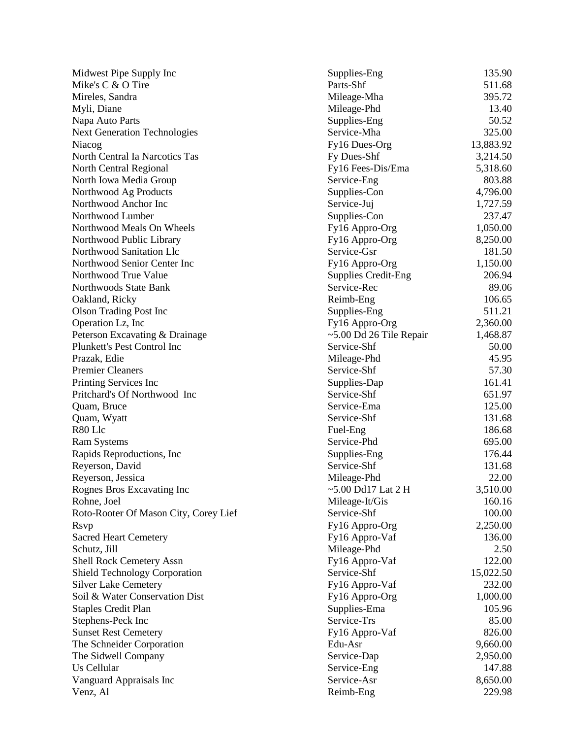| Midwest Pipe Supply Inc               | Supplies-Eng               | 135.90    |
|---------------------------------------|----------------------------|-----------|
| Mike's C & O Tire                     | Parts-Shf                  | 511.68    |
| Mireles, Sandra                       | Mileage-Mha                | 395.72    |
| Myli, Diane                           | Mileage-Phd                | 13.40     |
| Napa Auto Parts                       | Supplies-Eng               | 50.52     |
| <b>Next Generation Technologies</b>   | Service-Mha                | 325.00    |
| Niacog                                | Fy16 Dues-Org              | 13,883.92 |
| North Central Ia Narcotics Tas        | Fy Dues-Shf                | 3,214.50  |
| North Central Regional                | Fy16 Fees-Dis/Ema          | 5,318.60  |
| North Iowa Media Group                | Service-Eng                | 803.88    |
| Northwood Ag Products                 | Supplies-Con               | 4,796.00  |
| Northwood Anchor Inc                  | Service-Juj                | 1,727.59  |
| Northwood Lumber                      | Supplies-Con               | 237.47    |
| Northwood Meals On Wheels             | Fy16 Appro-Org             | 1,050.00  |
| Northwood Public Library              | Fy16 Appro-Org             | 8,250.00  |
| Northwood Sanitation Llc              | Service-Gsr                | 181.50    |
| Northwood Senior Center Inc           | Fy16 Appro-Org             | 1,150.00  |
| Northwood True Value                  | <b>Supplies Credit-Eng</b> | 206.94    |
| Northwoods State Bank                 | Service-Rec                | 89.06     |
|                                       |                            | 106.65    |
| Oakland, Ricky                        | Reimb-Eng                  |           |
| <b>Olson Trading Post Inc</b>         | Supplies-Eng               | 511.21    |
| Operation Lz, Inc                     | Fy16 Appro-Org             | 2,360.00  |
| Peterson Excavating & Drainage        | ~5.00 Dd 26 Tile Repair    | 1,468.87  |
| Plunkett's Pest Control Inc           | Service-Shf                | 50.00     |
| Prazak, Edie                          | Mileage-Phd                | 45.95     |
| <b>Premier Cleaners</b>               | Service-Shf                | 57.30     |
| Printing Services Inc                 | Supplies-Dap               | 161.41    |
| Pritchard's Of Northwood Inc          | Service-Shf                | 651.97    |
| Quam, Bruce                           | Service-Ema                | 125.00    |
| Quam, Wyatt                           | Service-Shf                | 131.68    |
| R80 Llc                               | Fuel-Eng                   | 186.68    |
| Ram Systems                           | Service-Phd                | 695.00    |
| Rapids Reproductions, Inc.            | Supplies-Eng               | 176.44    |
| Reyerson, David                       | Service-Shf                | 131.68    |
| Reyerson, Jessica                     | Mileage-Phd                | 22.00     |
| Rognes Bros Excavating Inc            | $\sim$ 5.00 Dd17 Lat 2 H   | 3,510.00  |
| Rohne, Joel                           | Mileage-It/Gis             | 160.16    |
| Roto-Rooter Of Mason City, Corey Lief | Service-Shf                | 100.00    |
| <b>Rsvp</b>                           | Fy16 Appro-Org             | 2,250.00  |
| <b>Sacred Heart Cemetery</b>          | Fy16 Appro-Vaf             | 136.00    |
| Schutz, Jill                          | Mileage-Phd                | 2.50      |
| <b>Shell Rock Cemetery Assn</b>       | Fy16 Appro-Vaf             | 122.00    |
| Shield Technology Corporation         | Service-Shf                | 15,022.50 |
| <b>Silver Lake Cemetery</b>           | Fy16 Appro-Vaf             | 232.00    |
| Soil & Water Conservation Dist        | Fy16 Appro-Org             | 1,000.00  |
| <b>Staples Credit Plan</b>            | Supplies-Ema               | 105.96    |
| Stephens-Peck Inc                     | Service-Trs                | 85.00     |
| <b>Sunset Rest Cemetery</b>           | Fy16 Appro-Vaf             | 826.00    |
| The Schneider Corporation             | Edu-Asr                    | 9,660.00  |
| The Sidwell Company                   | Service-Dap                | 2,950.00  |
| Us Cellular                           | Service-Eng                | 147.88    |
| Vanguard Appraisals Inc               | Service-Asr                | 8,650.00  |
| Venz, Al                              | Reimb-Eng                  | 229.98    |
|                                       |                            |           |